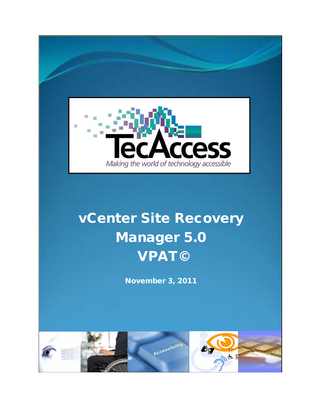

# vCenter Site Recovery Manager 5.0 VPAT©

November 3, 2011

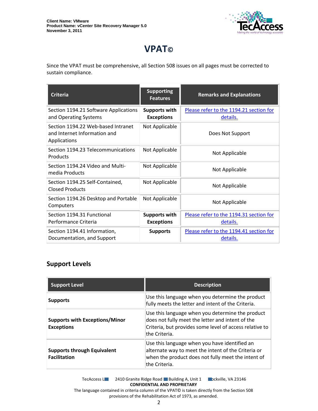

## **VPAT©**

Since the VPAT must be comprehensive, all Section 508 issues on all pages must be corrected to sustain compliance.

| <b>Criteria</b>                                                                    | <b>Supporting</b><br><b>Features</b>      | <b>Remarks and Explanations</b>                     |
|------------------------------------------------------------------------------------|-------------------------------------------|-----------------------------------------------------|
| Section 1194.21 Software Applications<br>and Operating Systems                     | <b>Supports with</b><br><b>Exceptions</b> | Please refer to the 1194.21 section for<br>details. |
| Section 1194.22 Web-based Intranet<br>and Internet Information and<br>Applications | Not Applicable                            | Does Not Support                                    |
| Section 1194.23 Telecommunications<br>Products                                     | Not Applicable                            | Not Applicable                                      |
| Section 1194.24 Video and Multi-<br>media Products                                 | Not Applicable                            | Not Applicable                                      |
| Section 1194.25 Self-Contained,<br><b>Closed Products</b>                          | Not Applicable                            | Not Applicable                                      |
| Section 1194.26 Desktop and Portable<br>Computers                                  | Not Applicable                            | Not Applicable                                      |
| Section 1194.31 Functional<br>Performance Criteria                                 | <b>Supports with</b><br><b>Exceptions</b> | Please refer to the 1194.31 section for<br>details. |
| Section 1194.41 Information,<br>Documentation, and Support                         | <b>Supports</b>                           | Please refer to the 1194.41 section for<br>details. |

#### **Support Levels**

| <b>Support Level</b>                                       | <b>Description</b>                                                                                                                                                                |
|------------------------------------------------------------|-----------------------------------------------------------------------------------------------------------------------------------------------------------------------------------|
| <b>Supports</b>                                            | Use this language when you determine the product<br>fully meets the letter and intent of the Criteria.                                                                            |
| <b>Supports with Exceptions/Minor</b><br><b>Exceptions</b> | Use this language when you determine the product<br>does not fully meet the letter and intent of the<br>Criteria, but provides some level of access relative to<br>lthe Criteria. |
| <b>Supports through Equivalent</b><br><b>Facilitation</b>  | Use this language when you have identified an<br>alternate way to meet the intent of the Criteria or<br>when the product does not fully meet the intent of<br>the Criteria.       |

TecAccess LLC 2410 Granite Ridge Road Building A, Unit 1 Dickville, VA 23146 **CONFIDENTIAL AND PROPRIETARY** The language contained in criteria column of the VPAT© is taken directly from the Section 508

provisions of the Rehabilitation Act of 1973, as amended.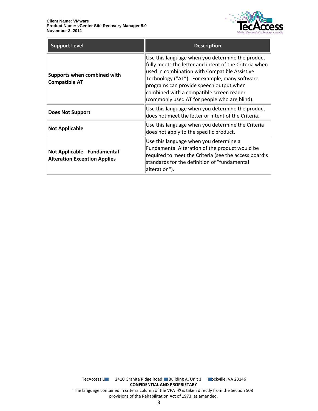

| <b>Support Level</b>                                                | <b>Description</b>                                                                                                                                                                                                                                                                                                                                  |
|---------------------------------------------------------------------|-----------------------------------------------------------------------------------------------------------------------------------------------------------------------------------------------------------------------------------------------------------------------------------------------------------------------------------------------------|
| Supports when combined with<br><b>Compatible AT</b>                 | Use this language when you determine the product<br>fully meets the letter and intent of the Criteria when<br>used in combination with Compatible Assistive<br>Technology ("AT"). For example, many software<br>programs can provide speech output when<br>combined with a compatible screen reader<br>(commonly used AT for people who are blind). |
| <b>Does Not Support</b>                                             | Use this language when you determine the product<br>does not meet the letter or intent of the Criteria.                                                                                                                                                                                                                                             |
| <b>Not Applicable</b>                                               | Use this language when you determine the Criteria<br>does not apply to the specific product.                                                                                                                                                                                                                                                        |
| Not Applicable - Fundamental<br><b>Alteration Exception Applies</b> | Use this language when you determine a<br>Fundamental Alteration of the product would be<br>required to meet the Criteria (see the access board's<br>standards for the definition of "fundamental<br>alteration").                                                                                                                                  |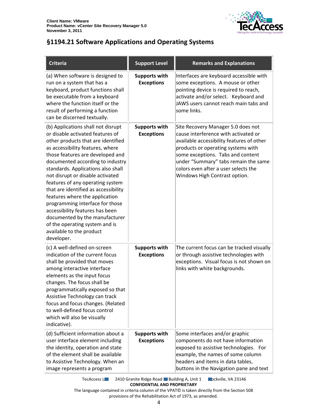

### <span id="page-3-0"></span>**§1194.21 Software Applications and Operating Systems**

| <b>Criteria</b>                                                                                                                                                                                                                                                                                                                                                                                                                                                                                                                                                                                      | <b>Support Level</b>                      | <b>Remarks and Explanations</b>                                                                                                                                                                                                                                                                                     |
|------------------------------------------------------------------------------------------------------------------------------------------------------------------------------------------------------------------------------------------------------------------------------------------------------------------------------------------------------------------------------------------------------------------------------------------------------------------------------------------------------------------------------------------------------------------------------------------------------|-------------------------------------------|---------------------------------------------------------------------------------------------------------------------------------------------------------------------------------------------------------------------------------------------------------------------------------------------------------------------|
| (a) When software is designed to<br>run on a system that has a<br>keyboard, product functions shall<br>be executable from a keyboard<br>where the function itself or the<br>result of performing a function<br>can be discerned textually.                                                                                                                                                                                                                                                                                                                                                           | <b>Supports with</b><br><b>Exceptions</b> | Interfaces are keyboard accessible with<br>some exceptions. A mouse or other<br>pointing device is required to reach,<br>activate and/or select. Keyboard and<br>JAWS users cannot reach main tabs and<br>some links.                                                                                               |
| (b) Applications shall not disrupt<br>or disable activated features of<br>other products that are identified<br>as accessibility features, where<br>those features are developed and<br>documented according to industry<br>standards. Applications also shall<br>not disrupt or disable activated<br>features of any operating system<br>that are identified as accessibility<br>features where the application<br>programming interface for those<br>accessibility features has been<br>documented by the manufacturer<br>of the operating system and is<br>available to the product<br>developer. | <b>Supports with</b><br><b>Exceptions</b> | Site Recovery Manager 5.0 does not<br>cause interference with activated or<br>available accessibility features of other<br>products or operating systems with<br>some exceptions. Tabs and content<br>under "Summary" tabs remain the same<br>colors even after a user selects the<br>Windows High Contrast option. |
| (c) A well-defined on-screen<br>indication of the current focus<br>shall be provided that moves<br>among interactive interface<br>elements as the input focus<br>changes. The focus shall be<br>programmatically exposed so that<br>Assistive Technology can track<br>focus and focus changes. (Related<br>to well-defined focus control<br>which will also be visually<br>indicative).                                                                                                                                                                                                              | <b>Supports with</b><br><b>Exceptions</b> | The current focus can be tracked visually<br>or through assistive technologies with<br>exceptions. Visual focus is not shown on<br>links with white backgrounds.                                                                                                                                                    |
| (d) Sufficient information about a<br>user interface element including<br>the identity, operation and state<br>of the element shall be available<br>to Assistive Technology. When an<br>image represents a program                                                                                                                                                                                                                                                                                                                                                                                   | <b>Supports with</b><br><b>Exceptions</b> | Some interfaces and/or graphic<br>components do not have information<br>exposed to assistive technologies. For<br>example, the names of some column<br>headers and items in data tables,<br>buttons in the Navigation pane and text                                                                                 |

TecAccess LLC 2410 Granite Ridge Road Building A, Unit 1 Dickville, VA 23146 **CONFIDENTIAL AND PROPRIETARY**

The language contained in criteria column of the VPAT© is taken directly from the Section 508 provisions of the Rehabilitation Act of 1973, as amended.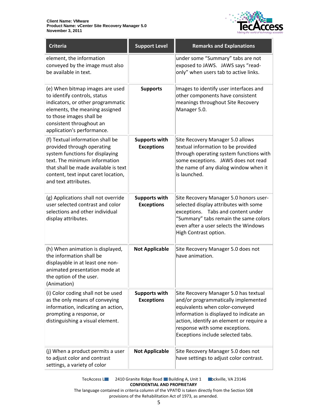

| <b>Criteria</b>                                                                                                                                                                                                                           | <b>Support Level</b>                      | <b>Remarks and Explanations</b>                                                                                                                                                                                                                                               |
|-------------------------------------------------------------------------------------------------------------------------------------------------------------------------------------------------------------------------------------------|-------------------------------------------|-------------------------------------------------------------------------------------------------------------------------------------------------------------------------------------------------------------------------------------------------------------------------------|
| element, the information<br>conveyed by the image must also<br>be available in text.                                                                                                                                                      |                                           | under some "Summary" tabs are not<br>exposed to JAWS. JAWS says "read-<br>only" when users tab to active links.                                                                                                                                                               |
| (e) When bitmap images are used<br>to identify controls, status<br>indicators, or other programmatic<br>elements, the meaning assigned<br>to those images shall be<br>consistent throughout an<br>application's performance.              | <b>Supports</b>                           | Images to identify user interfaces and<br>other components have consistent<br>meanings throughout Site Recovery<br>Manager 5.0.                                                                                                                                               |
| (f) Textual information shall be<br>provided through operating<br>system functions for displaying<br>text. The minimum information<br>that shall be made available is text<br>content, text input caret location,<br>and text attributes. | <b>Supports with</b><br><b>Exceptions</b> | Site Recovery Manager 5.0 allows<br>textual information to be provided<br>through operating system functions with<br>some exceptions. JAWS does not read<br>the name of any dialog window when it<br>is launched.                                                             |
| (g) Applications shall not override<br>user selected contrast and color<br>selections and other individual<br>display attributes.                                                                                                         | <b>Supports with</b><br><b>Exceptions</b> | Site Recovery Manager 5.0 honors user-<br>selected display attributes with some<br>exceptions. Tabs and content under<br>"Summary" tabs remain the same colors<br>even after a user selects the Windows<br>High Contrast option.                                              |
| (h) When animation is displayed,<br>the information shall be<br>displayable in at least one non-<br>animated presentation mode at<br>the option of the user.<br>(Animation)                                                               | <b>Not Applicable</b>                     | Site Recovery Manager 5.0 does not<br>have animation.                                                                                                                                                                                                                         |
| (i) Color coding shall not be used<br>as the only means of conveying<br>information, indicating an action,<br>prompting a response, or<br>distinguishing a visual element.                                                                | <b>Supports with</b><br><b>Exceptions</b> | Site Recovery Manager 5.0 has textual<br>and/or programmatically implemented<br>equivalents when color-conveyed<br>information is displayed to indicate an<br>action, identify an element or require a<br>response with some exceptions.<br>Exceptions include selected tabs. |
| (j) When a product permits a user<br>to adjust color and contrast<br>settings, a variety of color                                                                                                                                         | <b>Not Applicable</b>                     | Site Recovery Manager 5.0 does not<br>have settings to adjust color contrast.                                                                                                                                                                                                 |

TecAccess L**LC** 2410 Granite Ridge Road Building A, Unit 1 **Rockville, VA 23146 CONFIDENTIAL AND PROPRIETARY** The language contained in criteria column of the VPAT© is taken directly from the Section 508 provisions of the Rehabilitation Act of 1973, as amended.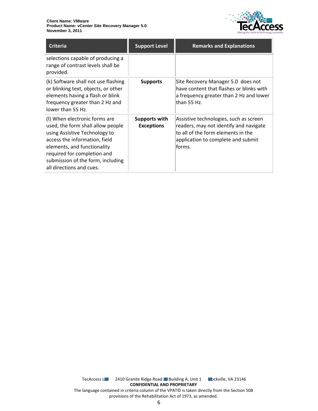

| <b>Criteria</b>                                                                                                                                                                                                                                                     | <b>Support Level</b>                      | <b>Remarks and Explanations</b>                                                                                                                                        |
|---------------------------------------------------------------------------------------------------------------------------------------------------------------------------------------------------------------------------------------------------------------------|-------------------------------------------|------------------------------------------------------------------------------------------------------------------------------------------------------------------------|
| selections capable of producing a<br>range of contrast levels shall be<br>provided.                                                                                                                                                                                 |                                           |                                                                                                                                                                        |
| (k) Software shall not use flashing<br>or blinking text, objects, or other<br>elements having a flash or blink<br>frequency greater than 2 Hz and<br>lower than 55 Hz.                                                                                              | <b>Supports</b>                           | Site Recovery Manager 5.0 does not<br>have content that flashes or blinks with<br>a frequency greater than 2 Hz and lower<br>than 55 Hz.                               |
| (I) When electronic forms are<br>used, the form shall allow people<br>using Assistive Technology to<br>access the information, field<br>elements, and functionality<br>required for completion and<br>submission of the form, including<br>all directions and cues. | <b>Supports with</b><br><b>Exceptions</b> | Assistive technologies, such as screen<br>readers, may not identify and navigate<br>to all of the form elements in the<br>application to complete and submit<br>forms. |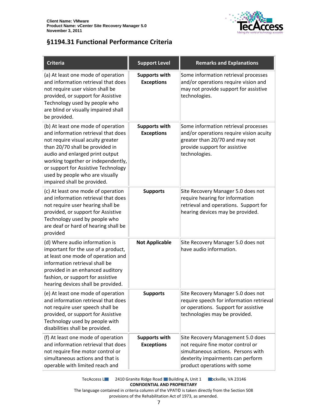

### <span id="page-6-0"></span>**§1194.31 Functional Performance Criteria**

| <b>Criteria</b>                                                                                                                                                                                                                                                                                                                     | <b>Support Level</b>                      | <b>Remarks and Explanations</b>                                                                                                                                                   |
|-------------------------------------------------------------------------------------------------------------------------------------------------------------------------------------------------------------------------------------------------------------------------------------------------------------------------------------|-------------------------------------------|-----------------------------------------------------------------------------------------------------------------------------------------------------------------------------------|
| (a) At least one mode of operation<br>and information retrieval that does<br>not require user vision shall be<br>provided, or support for Assistive<br>Technology used by people who<br>are blind or visually impaired shall<br>be provided.                                                                                        | <b>Supports with</b><br><b>Exceptions</b> | Some information retrieval processes<br>and/or operations require vision and<br>may not provide support for assistive<br>technologies.                                            |
| (b) At least one mode of operation<br>and information retrieval that does<br>not require visual acuity greater<br>than 20/70 shall be provided in<br>audio and enlarged print output<br>working together or independently,<br>or support for Assistive Technology<br>used by people who are visually<br>impaired shall be provided. | <b>Supports with</b><br><b>Exceptions</b> | Some information retrieval processes<br>and/or operations require vision acuity<br>greater than 20/70 and may not<br>provide support for assistive<br>technologies.               |
| (c) At least one mode of operation<br>and information retrieval that does<br>not require user hearing shall be<br>provided, or support for Assistive<br>Technology used by people who<br>are deaf or hard of hearing shall be<br>provided                                                                                           | <b>Supports</b>                           | Site Recovery Manager 5.0 does not<br>require hearing for information<br>retrieval and operations. Support for<br>hearing devices may be provided.                                |
| (d) Where audio information is<br>important for the use of a product,<br>at least one mode of operation and<br>information retrieval shall be<br>provided in an enhanced auditory<br>fashion, or support for assistive<br>hearing devices shall be provided.                                                                        | <b>Not Applicable</b>                     | Site Recovery Manager 5.0 does not<br>have audio information.                                                                                                                     |
| (e) At least one mode of operation<br>and information retrieval that does<br>not require user speech shall be<br>provided, or support for Assistive<br>Technology used by people with<br>disabilities shall be provided.                                                                                                            | <b>Supports</b>                           | Site Recovery Manager 5.0 does not<br>require speech for information retrieval<br>or operations. Support for assistive<br>technologies may be provided.                           |
| (f) At least one mode of operation<br>and information retrieval that does<br>not require fine motor control or<br>simultaneous actions and that is<br>operable with limited reach and                                                                                                                                               | <b>Supports with</b><br><b>Exceptions</b> | Site Recovery Management 5.0 does<br>not require fine motor control or<br>simultaneous actions. Persons with<br>dexterity impairments can perform<br>product operations with some |

TecAccess L**LC** 2410 Granite Ridge Road Building A, Unit 1 **Rockville, VA 23146 CONFIDENTIAL AND PROPRIETARY**

The language contained in criteria column of the VPAT© is taken directly from the Section 508 provisions of the Rehabilitation Act of 1973, as amended.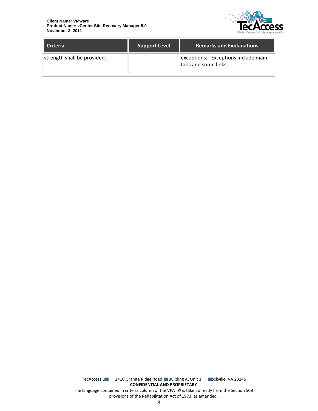

| <b>Criteria</b>             | <b>Support Level</b> | <b>Remarks and Explanations</b>                             |
|-----------------------------|----------------------|-------------------------------------------------------------|
| strength shall be provided. |                      | exceptions. Exceptions include main<br>tabs and some links. |